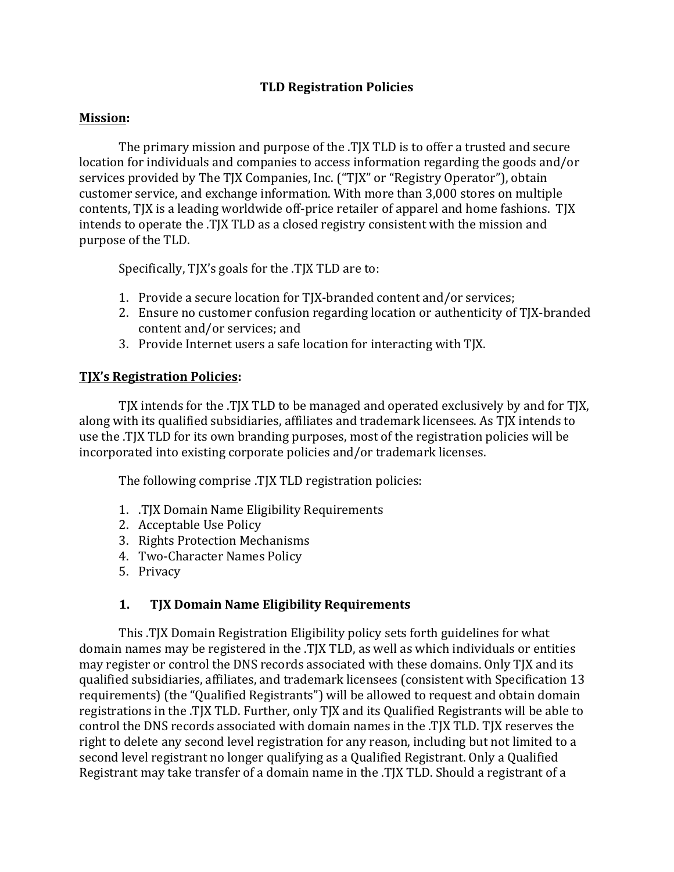### **TLD Registration Policies**

### **Mission:**

The primary mission and purpose of the .TJX TLD is to offer a trusted and secure location for individuals and companies to access information regarding the goods and/or services provided by The TJX Companies, Inc. ("TJX" or "Registry Operator"), obtain customer service, and exchange information. With more than 3,000 stores on multiple contents, TJX is a leading worldwide off-price retailer of apparel and home fashions. TJX intends to operate the .TJX TLD as a closed registry consistent with the mission and purpose of the TLD.

Specifically,  $T|X$ 's goals for the  $.T|X|TLD$  are to:

- 1. Provide a secure location for TJX-branded content and/or services;
- 2. Ensure no customer confusion regarding location or authenticity of TJX-branded content and/or services; and
- 3. Provide Internet users a safe location for interacting with TJX.

#### **TJX's Registration Policies:**

TJX intends for the .TJX TLD to be managed and operated exclusively by and for TJX, along with its qualified subsidiaries, affiliates and trademark licensees. As TJX intends to use the .TJX TLD for its own branding purposes, most of the registration policies will be incorporated into existing corporate policies and/or trademark licenses.

The following comprise .TJX TLD registration policies:

- 1. TIX Domain Name Eligibility Requirements
- 2. Acceptable Use Policy
- 3. Rights Protection Mechanisms
- 4. Two-Character Names Policy
- 5. Privacy

### 1. TJX Domain Name Eligibility Requirements

This .TJX Domain Registration Eligibility policy sets forth guidelines for what domain names may be registered in the .TJX TLD, as well as which individuals or entities may register or control the DNS records associated with these domains. Only TJX and its qualified subsidiaries, affiliates, and trademark licensees (consistent with Specification 13 requirements) (the "Qualified Registrants") will be allowed to request and obtain domain registrations in the .TJX TLD. Further, only TJX and its Qualified Registrants will be able to control the DNS records associated with domain names in the .TJX TLD. TJX reserves the right to delete any second level registration for any reason, including but not limited to a second level registrant no longer qualifying as a Qualified Registrant. Only a Qualified Registrant may take transfer of a domain name in the .TJX TLD. Should a registrant of a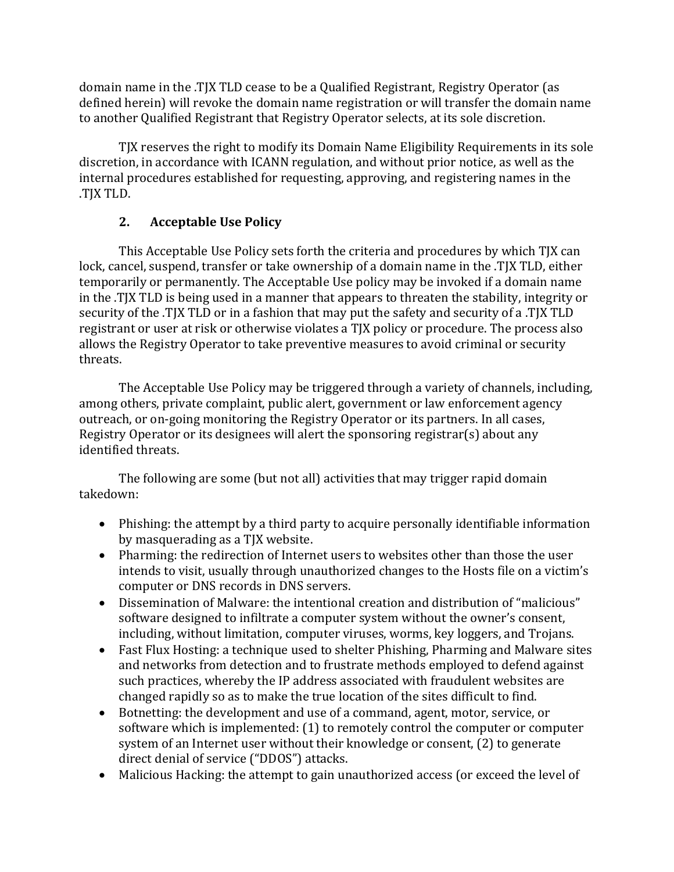domain name in the .TJX TLD cease to be a Qualified Registrant, Registry Operator (as defined herein) will revoke the domain name registration or will transfer the domain name to another Qualified Registrant that Registry Operator selects, at its sole discretion.

TJX reserves the right to modify its Domain Name Eligibility Requirements in its sole discretion, in accordance with ICANN regulation, and without prior notice, as well as the internal procedures established for requesting, approving, and registering names in the .TJX TLD. 

# **2.** Acceptable Use Policy

This Acceptable Use Policy sets forth the criteria and procedures by which TJX can lock, cancel, suspend, transfer or take ownership of a domain name in the .TJX TLD, either temporarily or permanently. The Acceptable Use policy may be invoked if a domain name in the .TJX TLD is being used in a manner that appears to threaten the stability, integrity or security of the .TJX TLD or in a fashion that may put the safety and security of a .TJX TLD registrant or user at risk or otherwise violates a TJX policy or procedure. The process also allows the Registry Operator to take preventive measures to avoid criminal or security threats. 

The Acceptable Use Policy may be triggered through a variety of channels, including, among others, private complaint, public alert, government or law enforcement agency outreach, or on-going monitoring the Registry Operator or its partners. In all cases, Registry Operator or its designees will alert the sponsoring registrar(s) about any identified threats.

The following are some (but not all) activities that may trigger rapid domain takedown: 

- Phishing: the attempt by a third party to acquire personally identifiable information by masquerading as a TJX website.
- Pharming: the redirection of Internet users to websites other than those the user intends to visit, usually through unauthorized changes to the Hosts file on a victim's computer or DNS records in DNS servers.
- Dissemination of Malware: the intentional creation and distribution of "malicious" software designed to infiltrate a computer system without the owner's consent, including, without limitation, computer viruses, worms, key loggers, and Trojans.
- Fast Flux Hosting: a technique used to shelter Phishing, Pharming and Malware sites and networks from detection and to frustrate methods employed to defend against such practices, whereby the IP address associated with fraudulent websites are changed rapidly so as to make the true location of the sites difficult to find.
- Botnetting: the development and use of a command, agent, motor, service, or software which is implemented:  $(1)$  to remotely control the computer or computer system of an Internet user without their knowledge or consent, (2) to generate direct denial of service ("DDOS") attacks.
- Malicious Hacking: the attempt to gain unauthorized access (or exceed the level of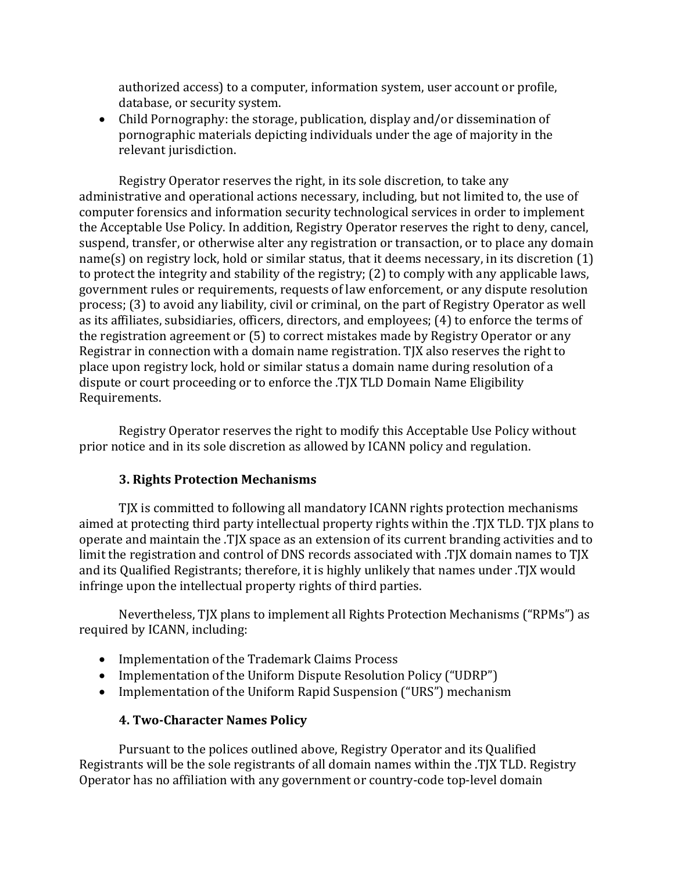authorized access) to a computer, information system, user account or profile, database, or security system.

• Child Pornography: the storage, publication, display and/or dissemination of pornographic materials depicting individuals under the age of majority in the relevant jurisdiction.

Registry Operator reserves the right, in its sole discretion, to take any administrative and operational actions necessary, including, but not limited to, the use of computer forensics and information security technological services in order to implement the Acceptable Use Policy. In addition, Registry Operator reserves the right to deny, cancel, suspend, transfer, or otherwise alter any registration or transaction, or to place any domain  $name(s)$  on registry lock, hold or similar status, that it deems necessary, in its discretion  $(1)$ to protect the integrity and stability of the registry;  $(2)$  to comply with any applicable laws, government rules or requirements, requests of law enforcement, or any dispute resolution process; (3) to avoid any liability, civil or criminal, on the part of Registry Operator as well as its affiliates, subsidiaries, officers, directors, and employees; (4) to enforce the terms of the registration agreement or  $(5)$  to correct mistakes made by Registry Operator or any Registrar in connection with a domain name registration. TJX also reserves the right to place upon registry lock, hold or similar status a domain name during resolution of a dispute or court proceeding or to enforce the .TJX TLD Domain Name Eligibility Requirements.

Registry Operator reserves the right to modify this Acceptable Use Policy without prior notice and in its sole discretion as allowed by ICANN policy and regulation.

### **3. Rights Protection Mechanisms**

TJX is committed to following all mandatory ICANN rights protection mechanisms aimed at protecting third party intellectual property rights within the .TJX TLD. TJX plans to operate and maintain the .TJX space as an extension of its current branding activities and to limit the registration and control of DNS records associated with .TJX domain names to TJX and its Qualified Registrants; therefore, it is highly unlikely that names under .TJX would infringe upon the intellectual property rights of third parties.

Nevertheless, TJX plans to implement all Rights Protection Mechanisms ("RPMs") as required by ICANN, including:

- Implementation of the Trademark Claims Process
- Implementation of the Uniform Dispute Resolution Policy ("UDRP")
- Implementation of the Uniform Rapid Suspension ("URS") mechanism

### **4. Two-Character Names Policy**

Pursuant to the polices outlined above, Registry Operator and its Qualified Registrants will be the sole registrants of all domain names within the .TJX TLD. Registry Operator has no affiliation with any government or country-code top-level domain